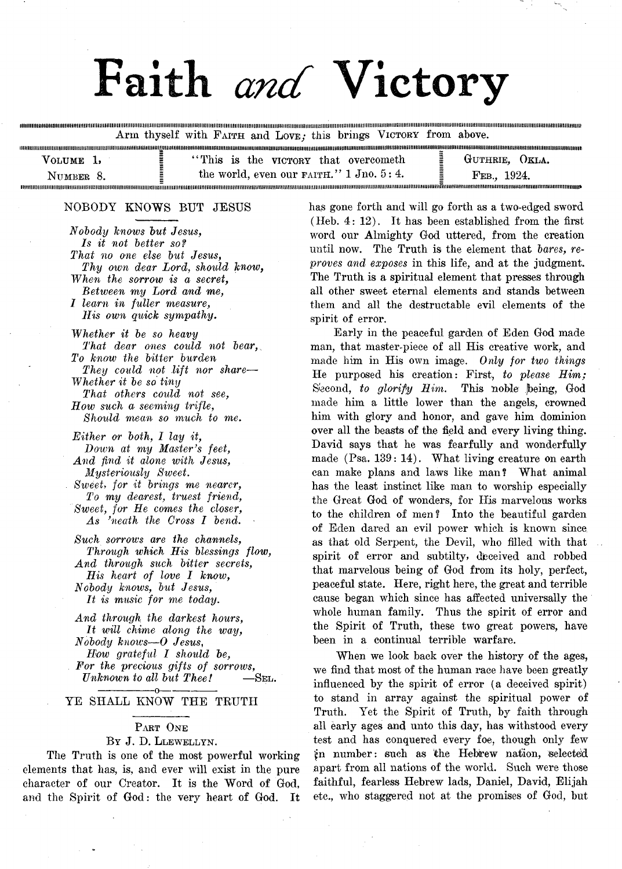# Faith *and* Victory

Arm thyself with FAITH and LOVE; this brings VICTORY from above.

| / OLIME   | "This is the victory that overcometh"              | GUTHRIE.<br>OKLA.    |
|-----------|----------------------------------------------------|----------------------|
| NUMBER 8. | the world, even our $F\text{AITH.}$ " 1 Jno. 5: 4. | -1924.<br>$E_{EB}$ . |

#### NOBODY KNOWS BUT JESUS

anann

*Nobody knows but Jesus, Is it not better sof That no one else but Jesus, Thy oivn dear Lord, shoidd know, When the sorrow is a secret, Between my Lord and me, I learn in fuller measure, His own quick sympathy.*

*Whether it be so heavy That dear ones could not bear, To know the bitter burden They could not lift nor share*—- *Whether it be so tiny That others could not see, How such a seeming trifle, Should mean so much to me.*

- *Either or both, 1 lay it, Down at my Master's feet, And find it alone with Jesus, Mysteriously Siveet. Sweet, for it brings me nearer, To my dearest, truest friend, Sweet, for He comes the closer, As 'neath the Cross I bend.*
- *Such sorrow's are the channels, Through which His blessings flow, And through such bitter secrets, His heart of love I know, Nobody knows, but Jesus, It is mime for me today.*

*And through the darkest hours, It will chime along the way, Nobody knows*— 0 *Jesus*, *How grateful I should be, For the precious gifts of sorroivs, Unknown to all but Thee!* —SEL. -0-

#### YE SHALL KNOW THE TRUTH

### PART ONE

#### By J. D. Llewellyn.

The Truth is one of the most powerful working elements that has, is, and ever will exist in the pure character of our Creator. It is the Word of God, and the Spirit of God: the very heart of God. It

has gone forth and will go forth as a two-edged sword (Heb. 4: 12). It has been established from the first word our Almighty God uttered, from the creation until now. The Truth is the element that *bares, reproves and exposes* in this life, and at the judgment. The Truth is a spiritual element that presses through all other sweet eternal elements and stands between them and all the destructable evil elements of the spirit of error.

Early in the peaceful garden of Eden God made man, that master-piece of all His creative work, and made him in His own image. *Only for two things* He purposed his creation: First, *to please Him;* Second, to glorify Him. This noble being, God made him a little lower than the angels, crowned him with glory and honor, and gave him dominion over all the beasts of the field and every living thing. David says that he was fearfully and wonderfully made (Psa. 139: 14). What living creature on earth can make plans and laws like man? What animal has the least instinct like man to worship especially the Great God of wonders, for His marvelous works to the children of men? Into the beautiful garden of Eden dared an evil power which is known since as that old Serpent, the Devil, who filled with that spirit of error and subtilty, dieceived and robbed that marvelous being of God from its holy, perfect, peaceful state. Here, right here, the great and terrible cause began which since has affected universally the whole human family. Thus the spirit of error and the Spirit of Truth, these two great powers, have been in a continual terrible warfare.

When we look back over the history of the ages, we find that most of the human race have been greatly influenced by the spirit of error (a deceived spirit) to stand in array against the spiritual power of Truth. Yet the Spirit of Truth, by faith through all early ages and unto this day, has withstood every test and has conquered every foe, though only few jn number: such as the Hebrew nation, selected apart from all nations of the world. Such were those faithful, fearless Hebrew lads, Daniel, David, Elijah etc., who staggered not at the promises of God, but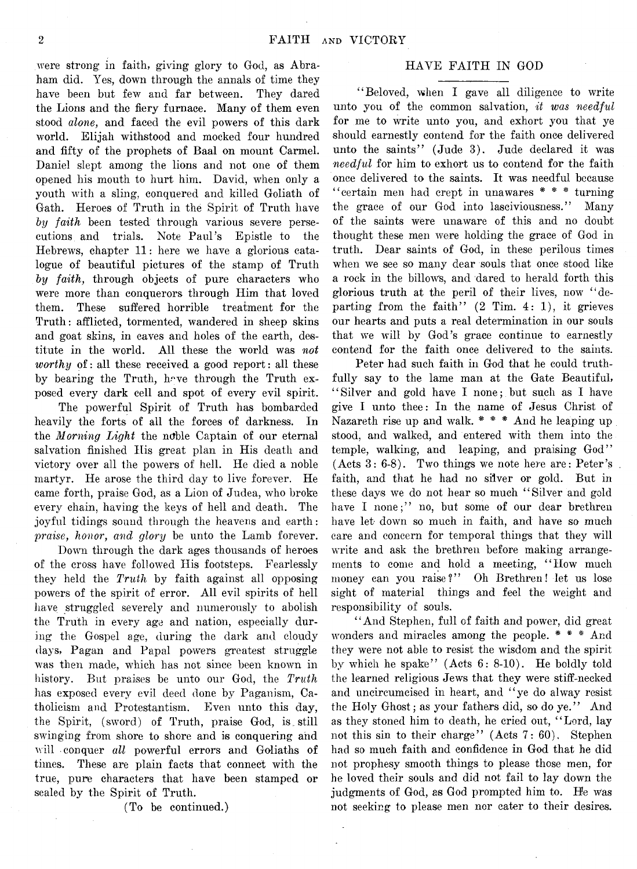were strong in faith, giving glory to God, as Abraham did. Yes, down through the annals of time they have been but few and far between. They dared the Lions and the fiery furnace. Many of them even stood *alone,* and faced the evil powers of this dark world. Elijah withstood and mocked four hundred and fifty of the prophets of Baal on mount Carmel. Daniel slept among the lions and not one of them opened his mouth to hurt him. David, when only a youth with a sling, conquered and killed Goliath of Gath. Heroes of Truth in the Spirit of Truth have *by faith* been tested through various severe persecutions and trials. Note Paul's Epistle to the Hebrews, chapter 11: here we have a glorious catalogue of beautiful pictures of the stamp of Truth *by faith,* through objects of pure characters who were more than conquerors through Him that loved them. These suffered horrible treatment for the Truth: afflicted, tormented, wandered in sheep skins and goat skins, in caves and holes of the earth, destitute in the world. All these the world was *not worthy* of all these received a good report: all these by bearing the Truth, have through the Truth exposed every dark cell and spot of every evil spirit.

The powerful Spirit of Truth has bombarded heavily the forts of all the forces of darkness. In the *Morning Light* the noble Captain of our eternal salvation finished His great plan in His death and victory over all the powers of hell. He died a noble martyr. He arose the third day to live forever. He came forth, praise God, as a Lion of Judea, who broke every chain, having the keys of hell and death. The joyful tidings sound through the heavens and earth: *praise, honor, and glory* be unto the Lamb forever.

Down through the dark ages thousands of heroes of the cross have followed His footsteps. Fearlessly they held the *Truth* by faith against all opposing powers of the spirit of error. All evil spirits of hell have struggled severely and numerously to abolish the Truth in every age and nation, especially during the Gospel age, during the dark and cloudy days, Pagan and Papal powers greatest struggle was then made, which has not since been known in history. But praises be unto our God, the *Truth* has exposed every evil deed done by Paganism, Catholicism and Protestantism. Even unto this day, the Spirit, (sword) of Truth, praise God, is . still swinging from shore to shore and is conquering and will conquer *all* powerful errors and Goliaths of times. These are plain facts that connect with the true, pure characters that have been stamped or sealed by the Spirit of Truth.

(To be continued.)

#### HAVE FAITH IN GOD

"Beloved, when I gave all diligence to write unto you of the common salvation, *it was needful* for me to write unto you, and exhort you that ye should earnestly contend for the faith once delivered unto the saints" (Jude 3). Jude declared it was *needful* for him to exhort us to contend for the faith once delivered to the saints. It was needful because " certain men had crept in unawares # # \* turning the grace of our God into lasciviousness." Many of the saints were unaware of this and no doubt thought these men were holding the grace of God in truth. Dear saints of God, in these perilous times when we see so many dear souls that once stood like a rock in the billows, and dared to herald forth this glorious truth at the peril of their lives, now " departing from the faith"  $(2 \text{ Tim. } 4: 1)$ , it grieves our hearts and puts a real determination in our souls that we will by God's grace continue to earnestly contend for the faith once delivered to the saints.

Peter had such faith in God that he could truthfully say to the lame man at the Gate Beautiful, ' ' Silver and gold have I none; but such as I have give I unto thee: In the name of Jesus Christ of Nazareth rise up and walk. \* \* \* And he leaping up stood, and walked, and entered with them into the temple, walking, and leaping, and praising God" (Acts 3: 6-8). Two things we note here are: Peter's faith, and that he had no silver or gold. But in these days we do not hear so much " Silver and gold have I none;" no, but some of our dear brethren have let- down so much in faith, and have so much care and concern for temporal things that they will write and ask the brethren before making arrangements to come and hold a meeting, " How much money can you raise?" Oh Brethren! let us lose sight of material things and feel the weight and responsibility of souls.

" And Stephen, full of faith and power, did great wonders and miracles among the people. \* \* \* And they were not able to resist the wisdom and the spirit by which he spake" (Acts 6: 8-10). He boldly told the learned religious Jews that they were stiff-necked and uncircumcised in heart, and " ye do alway resist the Holy Ghost; as your fathers did, so do ye." And as they stoned him to death, he cried out, " Lord, lay not this sin to their charge" (Acts 7: 60). Stephen had so much faith and confidence in God that he did not prophesy smooth things to please those men, for he loved their souls and did not fail to lay down the judgments of God, as God prompted him to. He was not seeking to please men nor cater to their desires.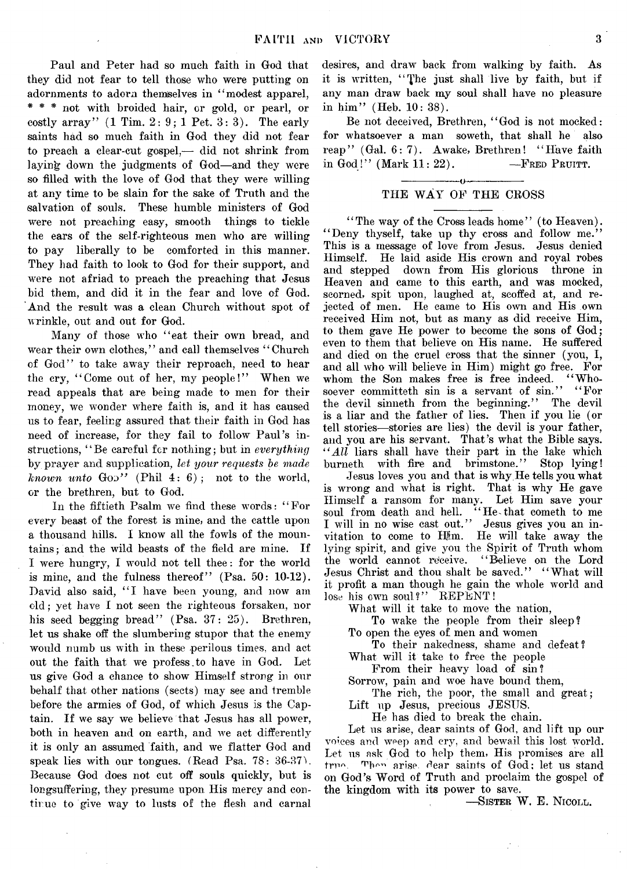Paul and Peter had so much faith in God that they did not fear to tell those who were putting on adornments to adorn themselves in "modest apparel, \* \* \* not with broided hair, or gold, or pearl, or costly array"  $(1 \text{ Tim. } 2: 9; 1 \text{ Pet. } 3: 3)$ . The early saints had so much faith in God they did not fear to preach a clear-cut gospel,— did not shrink from laying down the judgments of God—and they were so filled with the love of God that they were willing at any time to be slain for the sake of Truth and the salvation of souls. These humble ministers of God were not preaching easy, smooth things to tickle the ears of the self-righteous men who are willing to pay liberally to be comforted in this manner. They had faith to look to God for their support, and were not afriad to preach the preaching that Jesus bid them, and did it in the fear and love of God. And the result was a clean Church without spot of wrinkle, out and out for God.

Many of those who "eat their own bread, and wear their own clothes," and call themselves "Church of God" to take away their reproach, need to hear the cry, "Come out of her, my people!" When we read appeals that are being made to men for their money, we wonder where faith is, and it has caused us to fear, feeling assured that their faith in God has need of increase, for they fail to follow Paul's instructions, ' ' Be careful for nothing; but in *everything* by prayer and supplication, *let your requests he made known unto*  $Go2$ <sup>"</sup> (Phil 4: 6); not to the world, or the brethren, but to God.

In the fiftieth Psalm we find these werds: " For every beast of the forest is mine, and the cattle upon a thousand hills. I know all the fowls of the mountains; and the wild beasts of the field are mine. If I were hungry, I weuld not tell thee: for the world is mine, and the fulness thereof" (Psa. 50: 10-12). David also said, "I have been young, and now am old; yet have I not seen the righteous forsaken, nor his seed begging bread" (Psa. 37: 25). Brethren, let us shake off the slumbering stupor that the enemy would numb us with in these perilous times, and act out the faith that we profess to have in God. Let us give God a chance to show Himself strong in our behalf that other nations (sects) may see and tremble before the armies of God, of which Jesus is the Captain. If we say we believe that Jesus has all power, both in heaven and on earth, and we act differently it is only an assumed faith, and we flatter God and speak lies with our tongues. (Read Psa. 78: 36-37). Because God does not cut off souls quickly, but is longsuffering, they presume upon His mercy and continue to give way to lusts of the flesh and carnal

desires, and draw back from walking by faith. As it is written, " The just shall live by faith, but if any man draw back my soul shall have no pleasure in him" (Heb. 10: 38).

Be not deceived, Brethren, "God is not mocked: for whatsoever a man soweth, that shall he also reap" (Gal. 6:7). Awake, Brethren! "Have faith in God!" (Mark  $11:22$ ). — FRED PRUITT.

#### ------------- --------------- THE WAY OF THE CROSS

"The way of the Cross leads home" (to Heaven). "Deny thyself, take up thy cross and follow me." This is a message of love from Jesus. Jesus denied Himself. He laid aside His crown and royal robes down from His glorious throne in Heaven and came to this earth, and was mocked, scorned, spit upon, laughed at, scoffed at, and rejected of men. He came to His own and His own received Him not, but as many as did receive Him, to them gave He power to become the sons of God; even to them that believe on His name. He suffered and died on the cruel cross that the sinner (you, I, and all who will believe in Him) might go free. For whom the Son makes free is free indeed. " Whosoever committeth sin is a servant of sin." "For the devil sinneth from the beginning." The devil is a liar and the father of lies. Then if you lie (or tell stories— stories are lies) the devil is your father, and you are his servant. That's what the Bible says. *" All* liars shall have their part in the lake which burneth with fire and brimstone." Stop lying!

Jesus loves you and that is why He tells you what is wrong and what is right. That is why He gave Himself a ransom for many. Let Him save your soul from death and hell. "He-that cometh to me I will in no wise cast out." Jesus gives you an invitation to come to Him. He will take away the lying spirit, and give you the Spirit of Truth whom the world cannot receive. " Believe on the Lord Jesus Christ and thou shalt be saved." "What will it profit a man though he gain the whole world and lose his own soul?" REPENT!

What will it take to move the nation,

To wake the people from their sleep? To open the eyes of men and women

To their nakedness, shame and defeat? What will it take to free the people

From their heavy load of sin?

Sorrow, pain and woe have bound them,

The rich, the poor, the small and great;

Lift up Jesus, precious JESUS.

He has died to break the chain.

Let us arise, dear saints of God, and lift up our voices and weep and cry, and bewail this lost world. Let us ask God to help them, His promises are all true. Then arise dear saints of God; let us stand on God's Word of Truth and proclaim the gospel of the kingdom with its power to save.

— Sister W, E. Nicoll.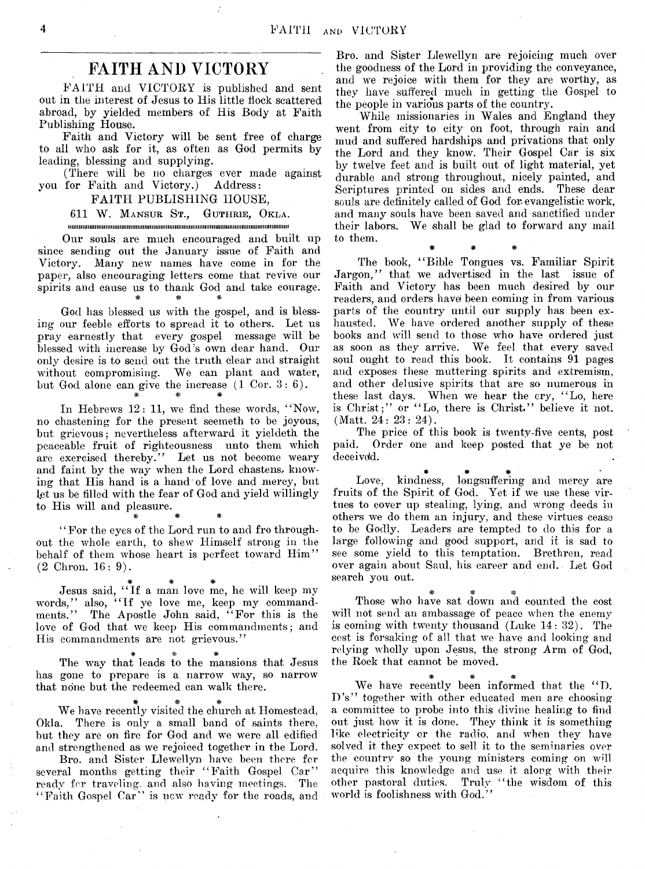## **FAITH AND VICTORY**

FAITH and VICTORY is published and sent out in the interest of Jesus to His little flock scattered abroad, by yielded members of His Body at Faith Publishing House.

Faith and Victory will be sent free of charge to all who ask for it, as often as God permits by leading, blessing and supplying.

(There will be no charges ever made against you for Faith and Victory.) Address:

FAITH PUBLISHING HOUSE,

611 W. MANSUR ST., GUTHRIE, OKLA. **im iiiiiiiim m iiiiiiiiiiiiiim im iiiiiiiiiiiiiiiiiiiiiim iiiiiiiiiiiiiiiiiiim im iiiiiiiiiiiiiim iiiiiiiiiiiiiiiiii**

Our souls are much encouraged and built up since sending out the January issue of Faith and Victory. Many new names have come in for the paper, also encouraging letters come that revive our spirits and cause us to thank God and take courage.

God has blessed us with the gospel, and is blessing our feeble efforts to spread it to others. Let us pray earnestly that every gospel message will be blessed with increase by God's own dear hand. Our only desire is to send out the truth clear and straight without compromising. We can plant and water, but God alone can give the increase (1 Cor. 3: 6). # # #

In Hebrews 12: 11, we find these words, "Now, no chastening for the present seemeth to be joyous, but grievous; nevertheless afterward it yieldeth the peaceable fruit of righteousness unto them which are exercised thereby." Let us not become weary and faint by the way when the Lord chastens, knowing that His hand is a hand of love and mercy, but let us be filled with the fear of God and yield willingly to His will and pleasure.

" For the eyes of the Lord run to and fro throughout the whole earth, to shew Himself strong in the behalf of them whose heart is perfect toward Him" (2 Chron. 16: 9).

\* # #

# # # Jesus said, " If a man love me, he will keep my words,77 also, " If ye love me, keep my commandments.77 The Apostle John said, " For this is the love of God that we keep His commandments; and His commandments are not grievous."

\* \* *\** The way that leads to the mansions that Jesus has gone to prepare is a narrow way, so narrow that none but the redeemed can walk there.

J£, w w*M\** We have recently visited the church at Homestead, Okla. There is only a small band of saints there, but they are on fire for God and we were all edified and strengthened as we rejoiced together in the Lord.

Bro. and Sister Llewellyn have been there for several months getting their "Faith Gospel Car" ready for traveling, and also having meetings. The  $\lq\lq$  Faith Gospel Car'' is new ready for the roads, and

Bro. and Sister Llewellyn are rejoicing much over the goodness of the Lord in providing the conveyance, and we rejoice with them for they are worthy, as they have suffered much in getting the Gospel to the people in various parts of the country.

While missionaries in Wales and England they went from city to city on foot, through rain and mud and suffered hardships and privations that only the Lord and they know. Their Gospel Car is six by twelve feet and is built out of light material, yet durable and strong throughout, nicely painted, and Scriptures printed on sides and ends. These dear souls are definitely called of God for evangelistic work, and many souls have been saved and sanctified under their labors. We shall be glad to forward any mail to them.

# # #

The book, " Bible Tongues vs. Familiar Spirit Jargon," that we advertised in the last issue of Faith and Victory has been much desired by our readers, and orders have been coming in from various parts of the country until our supply has been exhausted. We have ordered another supply of these books and will send to those who have ordered just as soon as they arrive. We feel that every saved soul ought to read this book. It contains 91 pages and exposes these muttering spirits and extremism, and other delusive spirits that are so numerous in these last days. When we hear the cry, " Lo, here is Christ;" or " Lo, there is Christ," believe it not. (Matt. 24: 23: 24).

The price of this book is twenty-five cents, post paid. Order one and keep posted that ye be not deceived.

Love, kindness, longsuffering and mercy are fruits of the Spirit of God. Yet if we use these virtues to cover up stealing, lying, and wrong deeds in others we do them an injury, and these virtues cease to be Godly. Leaders are tempted to do this for a large following and good support, and it is sad to see some yield to this temptation. Brethren, read over again about Saul, his career and end. Let God search you out.

# # # Those who have sat down and counted the cost will not send an ambassage of peace when the enemy is coming with twenty thousand (Luke 14: 32). The cost is forsaking of all that we have and looking and relying wholly upon Jesus, the strong Arm of God, the Rock that cannot be moved.

# \* # We have recently been informed that the "D. D's" together with other educated men are choosing a committee to probe into this divine healing to find out just how it is done. They think it is something like electricity or the radio, and when they have solved it they expect to sell it to the seminaries over the country so the young ministers coming on will acquire this knowledge and use it along with their other pastoral duties. Truly "the wisdom of this world is foolishness with God.<sup>7</sup>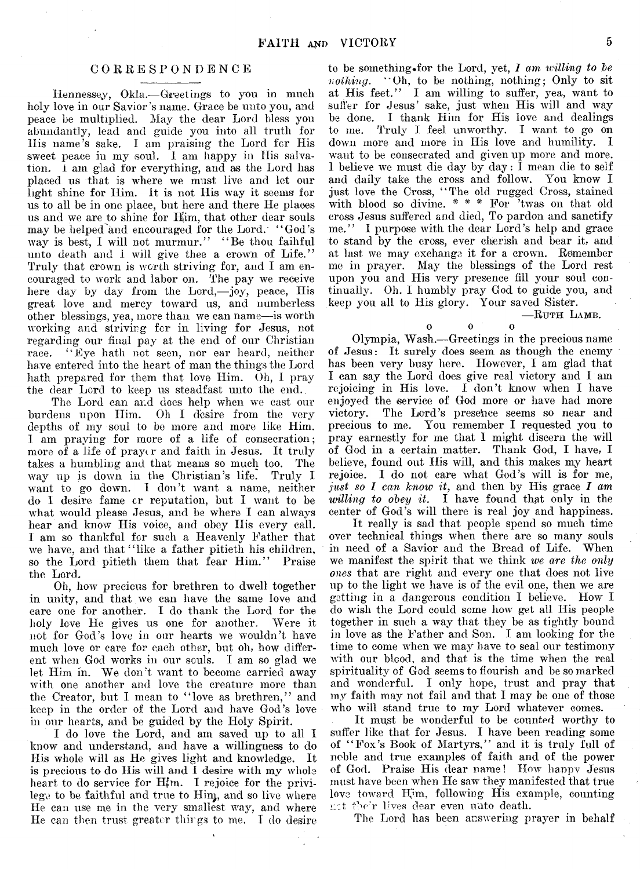#### **CORRESPONDENCE**

Hennessey, Okla.— Greetings to you in much holy love in our Savior's name. Grace be unto you, and peace be multiplied. May the dear Lord bless you abundantly, lead and guide you into all truth for Ilis name's sake. I am praising the Lord for His sweet peace in my soul. I am happy in His salvation. i am glad for everything, and as the Lord has placed us that is where we must live and let our light shine for Him. It is not His way it seems for us to all be in one place, but here and there He places us and we are to shine for Him, that other dear souls may be helped and encouraged for the Lord. "God's way is best, I will not murmur." "Be thou faihful unto death and I will give thee a crown of Life." Truly that crown is worth striving for, and I am encouraged to work and labor on. The pay we receive here day by day from the Lord,— joy, peace, His great love and mercy toward us, and numberless other blessings, yea, more than we can name—is worth working and striving for in living for Jesus, not regarding our final pay at the end of our Christian race. " Eye hath not seen, nor ear heard, neither have entered into the heart of man the things the Lord hath prepared for them that love Him. Oh, I pray the dear Lord to keep us steadfast unto the end.,

The Lord can and does help when we cast our burdens upon Him. Oh I desire from the very depths of my soul to be more and more like Him. I am praying for more of a life of consecration; more of a life of prayer and faith in Jesus. It truly takes a humbling and that means so much too. The way up is down in the Christian's life. Truly I want to go down. I don't want a name, neither do I desire fame cr reputation, but I want to be what would please Jesus, and be where I can always hear and know His voice, and obey His every call. 1 am so thankful for such a Heavenly Father that we have, and that "like a father pitieth his children, so the Lord pitieth them that fear Him." Praise the Lord.

Oh, how precious for brethren to dwell together in unity, and that we can have the same love and care one for another. I do thank the Lord for the holy love He gives us one for another. Were it not for God's love in our hearts we wouldn't have much love or care for each other, but oh, how different when God works in our souls. I am so glad we let Him in. We don't want to become carried away with one another and love the creature more than the Creator, but I mean to "love as brethren," and keep in the order of the Lord and have God's love in our hearts, and be guided by the Holy Spirit.

I do love the Lord, and am saved up to all I know and understand, and have a willingness to do His whole will as He gives light and knowledge. It is precious to do His will and I desire with my whole heart to do service for Hfm. I rejoice for the privilege to be faithful and true to Him, and so live where He can use me in the very smallest way, and where He can then trust greater things to me. I do desire

to be something for the Lord, yet, *I am willing to be nothing.* "Oh, to be nothing, nothing; Only to sit at His feet." I am willing to suffer, yea, want to suffer for Jesus' sake, just when His will and way be done. I thank Him for His love and dealings to me. Truly I feel unworthy. I want to go on down more and more in His love and humility. I want to be consecrated and given up more and more. 1 believe we must die day by day:  $\overline{I}$  mean die to self and daily take the cross and follow. You know I just love the Cross, " The old rugged Cross, stained with blood so divine. \* \* \* For 'twas on that old cross Jesus suffered and died, To pardon and sanctify me." I purpose with the dear Lord's help and grace to stand by the cross, ever cherish and bear it, and at last we may exchange it for a crown. Remember me in prayer. May the blessings of the Lord rest upon you and His very presence fill your soul continually. Oh. I humbly pray God to guide you, and keep you all to His glory. Your saved Sister.

 $-$ RUTH LAMB.

# $\begin{array}{ccc} 0 & 0 \end{array}$  0

Olympia, Wash.— Greetings in the precious name of Jesus: It surely does seem as though the enemy has been very busy here. However, I am glad that I can say the Lord does give real victory and I am rejoicing in His love. I don't know when I have enjoyed the service of God more or have had more victory. The Lord's presence seems so near and precious to me. You remember I requested you to pray earnestly for me that I might discern the will of God in a certain matter. Thank God, I have, I believe, found out Ilis will, and this makes my heart rejoice. I do not care what God's will is for me, *just so I can know it,* and then by His grace *I am willing to obey it.* I have found that only in the center of God's will there is real joy and happiness.

It really is sad that people spend so much time over technical things when there are so many souls in need of a Savior and the Bread of Life. When we manifest the spirit that we think *we are the only ones* that are right and every one that does not live up to the light we have is of the evil one, then we are getting in a dangerous condition I believe. How I do wish the Lord could some liow get all His people together in such a way that they be as tightly bound in love as the Father and Son. I am looking for the time to come when we may have to seal our testimony with our blood, and that is the time when the real spirituality of God seems to flourish and be so marked and wonderful. I only hope, trust and pray that my faith may not fail and that I may be one of those who will stand true to my Lord whatever comes.

It must be wonderful to be counted worthy to suffer like that for Jesus. I have been reading some of "Fox's Book of Martyrs," and it is truly full of noble and true examples of faith and of the power of God. Praise His dear name! How happy Jesus must have been when He saw they manifested that true love toward Him, following His example, counting r :t the'r lives dear even unto death.

The Lord has been answering prayer in behalf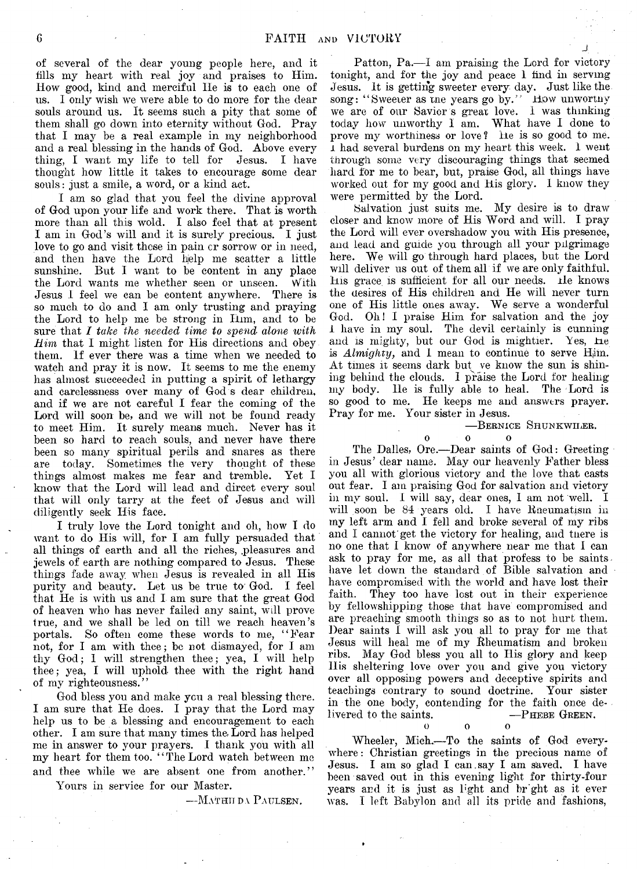of several of the dear young people here, and it tills my heart with real joy and praises to Him. How good, kind and merciful He is to each one of us. I only wish we were able to do more for the dear souls around us. It seems such a pity that some of them shall go down into eternity without God. Pray that I may be a real example in my neighborhood and a real blessing in the hands of God. Above every thing, I want my life to tell for Jesus. I have thought how little it takes to encourage some dear souls: just a smile, a word, or a kind act.

I am so glad that you feel the divine approval of God upon your life and work there. That is worth more than all this wold. I also feel that at present I am in God's will and it is surely precious. I just love to go and visit these in pain cr sorrow or in need, and then have the Lord help me scatter a little sunshine. But I want to be content in any place the Lord wants me whether seen or unseen. With Jesus I feel we can be content anywhere. There is so much to do and I am only trusting and praying the Lord to help me be strong in Him, and to be sure that *I take the needed time to spend alone with Him* that I might listen for His directions and obey them. If ever there was a time when we needed to watch and pray it is now. It seems to me the enemy has almost succeeded in putting a spirit of lethargy and carelessness over many of God s dear children, and if we are not careful I fear the coming of the Lord will soon be, and we will not be found ready to meet Him. It surely means much. Never has it been so hard to reach souls, and never have there been so many spiritual perils and snares as there are today. Sometimes the very thought of these things almost makes me fear and tremble. Yet I know that the Lord will lead and dircet every soul that will only tarry at the feet of Jesus and will diligently seek His face.

I truly love the Lord tonight and oh, how I do want to do His will, for I am fully persuaded that all things of earth and all the riches, pleasures and jewels of earth are nothing compared to Jesus. These things fade away when Jesus is revealed in all His purity and beauty. Let us be true to God. I feel that He is with us and I am sure that the great God of heaven who has never failed any saint, will prove true, and we shall be led on till we reach heaven's portals. So often come these words to me, " Fear not, for I am with thee; be not dismayed, for I am thy God; I will strengthen thee; yea, I will help thee; yea, I will uphold thee with the right hand of my righteousness."

God bless you and make you a real blessing there. I am sure that He does. I pray that the Lord may help us to be a blessing and encouragement to each other. I am sure that many times the- Lord has helped me in answer to your prayers. I thank you with all my heart for them too. " The Lord watch between me and thee while we are absent one from another."

Yours in service for our Master.

—Mathiida Paulsen.

Patton, Pa.—I am praising the Lord for victory tonight, and for the joy and peace 1 find in serving Jesus. It is getting sweeter every day. Just like the song: " Sweeier as me years go by." How unwortnv we are of our Savior's great love. 1 was thinking today how unworthy I am. What have I done to prove my worthiness or love? He is so good to me. l had several burdens on my heart this week. 1 went through some very discouraging things that seemed hard for me to bear, but, praise God, all things have worked out for my good and His glory. I know they were permitted by the Lord.

Salvation just suits me. My desire is to draw closer and know more of His Word and will. I pray the Lord will ever overshadow you with His presence, and lead and guide you through all your pilgrimage here. We will go through hard places, but the Lord will deliver us out of them all if we are only faithful. His grace, is sufficient for all our needs. He 'knows the desires of His children and He will never turn one of His little ones away. We serve a wonderful God. Oh! I praise Him for salvation and the joy 1. have in my soul. The devil certainly is cunning and is mighty, but our God is mightier. Yes, He is  $Almighty$ , and I mean to continue to serve H<sub>im</sub>. At times it seems dark but ve know the sun is shining behind the clouds. I praise the Lord for healing my body. He is fully able to heal. The Lord is so good to me. He keeps me and answers prayer. Pray for me. Your sister in Jesus.

— Bernice Shunkwiuer.

j

 $\mathbf{0}$  o  $\mathbf{0}$  o  $\mathbf{0}$ 

The Dalles, Ore.— Dear saints of God: Greeting in Jesus' dear name. May our heavenly Father bless you all with glorious victory and the love that casts out fear. I am praising God for salvation and victory in my soul. I will say, dear ones, I am not well. I will soon be 84 years old. I have Rneumatism in my left arm and I fell and broke several of my ribs and I cannot get the victory for healing, and tnere is no one that I know of anywhere near me that I can ask to pray for me, as all that profess to be saints have let down the standard of Bible salvation and have compromised with the world and have lost their faith. They too have lost out in their experience by fellowshipping those that have compromised and are preaching smooth things so as to not hurt them. Dear saints I will ask you all to pray for me that Jesus will heal me of my Rheumatism and broken ribs. May God bless you all to His glory and keep His sheltering love over you and give you victory over all opposing powers and deceptive spirits and teachings contrary to sound doctrine. Your sister in the one body, contending for the faith once delivered to the saints. **o o** 

Wheeler, Mich.— To the saints of God everywhere: Christian greetings in the precious name of Jesus. I am so glad I can.say I am saved. I have been saved out in this evening light for thirty-four years and it is just as light and br'ght as it ever was. I left Babylon and all its pride and fashions,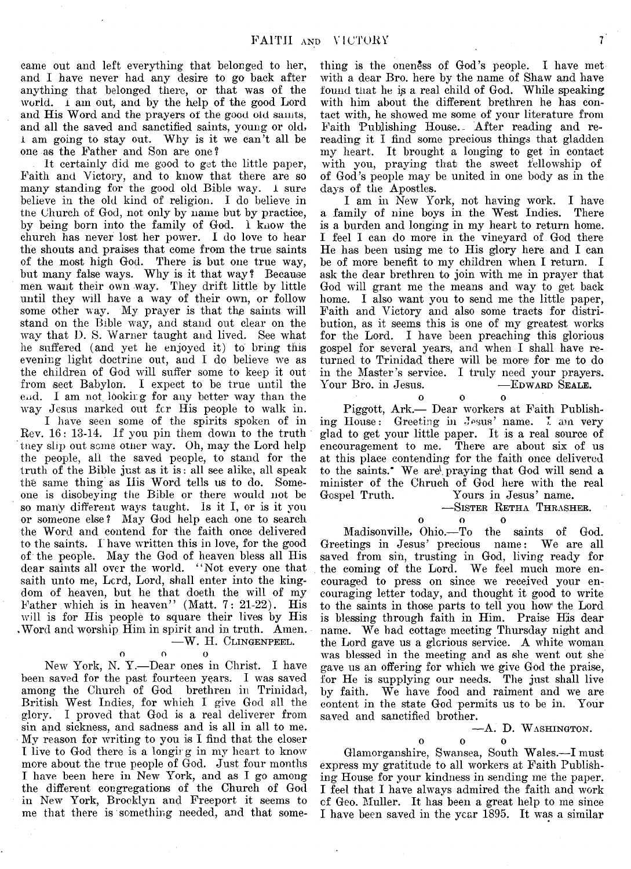came out and left everything that belonged to her, and I have never had any desire to go back after anything that belonged there, or that was of the world. I am out, and by the help of the good Lord and His Word and the prayers of the good old saints, and all the saved and sanctified saints, young or old, i am going to stay out. Why is it we can't all be one as the Father and Son are one?

It certainly did me good to get the little paper, Faith and Victory, and to know that there are so many standing for the good old Bible way. 1 sure believe in the old kind of religion. I do believe in the Church of God, not only by name but by practice, by being born into the family of God. 1 know the church has never lost her power. I do love to hear the shouts and praises that come from the true saints of the most high God. There is but one true way, but many false ways. Why is it that way? Because men want their own way. They drift little by little until they will have a way of their own, or follow some other way. My prayer is that the saints will stand, on the Bible way, and stand out clear on the way that D. S. Warner taught and lived. See what he suffered (and yet he enjoyed it) to bring this evening light doctrine out, and I do believe we as the children of God will suffer some to keep it out from sect Babylon. I expect to be true until the e<sub>id</sub>. I am not looking for any better way than the way Jesus marked out for His people to walk in.

I have seen some of the spirits spoken of in Rev. 16: 13-14. If you pin them down to the truth tney slip out some other way. Oh, may the Lord help the people, all the saved people, to stand for the truth of the Bible just as it is: all see alike, all speak the same thing as Ilis Word tells us to do. Someone is disobeying the Bible or there would not be so many different ways taught. Is it I, or is it you or someone else? May God help each one to search the Word and contend for the faith once delivered to the saints. I have written this in love, for the good of the people. May the God of heaven bless all His dear saints all over the world. "Not every one that saith unto me, Lord, Lord, shall enter into the kingdom of heaven, but he that doeth the will of my Father which is in heaven" (Matt. 7: 21-22). His will is for His people to square their lives by His .Word and worship Him in spirit and in truth. Amen. — W. H. Clingenpeel.

o o o

New York, N. Y.— Dear ones in Christ. I have been saved for the past fourteen years. I was saved among the Church of God brethren in Trinidad, British West Indies, for which I give God all the glory. I proved that God is a real deliverer from sin and sickness, and sadness and is all in all to me. My reason for writing to you is I find that the closer I live to God there is a longing in my heart to know more about the true people of God. Just four months I have been here in New York, and as I go among the different congregations of the Church of God in New York, Brooklyn and Freeport it seems to me that there is something needed, and that some-

thing is the oneness of God's people. I have metwith a dear Bro. here by the name of Shaw and have found that he is a real child of God. While speaking with him about the different brethren he has contact with, he showed me some of your literature from Faith Publishing House. After reading and rereading it I find some precious things that gladden my heart. It brought a longing to get in contact with you, praying that the sweet fellowship of of God's people may be united in one body as in the days of the Apostles.

I am in New York, not having work. I have a family of nine boys in the West Indies. There is a burden and longing in my heart to return home. I feel I can do more in the vineyard of God there He has been using me to His glory here and I can be of more benefit to my children when I return. I ask the dear brethren to join with me in prayer that God will grant me the means and way to get back home. I also want you to send me the little paper, Faith and Victory and also some tracts for distribution, as it seems this is one of my greatest works for the Lord. I have been preaching this glorious gospel for several years, and when I shall have returned to Trinidad there will be more for me to do in the Master's service. I truly need your prayers.<br>Your Bro. in Jesus. — EDWARD SEALE. Your Bro. in Jesus.

o o o

Piggott, Ark.— Dear workers at Faith Publishing House: Greeting in Jesus' name. I am very glad to get your little paper. It is a real source of encouragement to me. There are about six of us at this place contending for the faith once delivered to the saints.\* We are', praying that God will send a minister of the Chruch of God here with the real Gospel Truth. Yours in Jesus' name. Yours in Jesus' name.

-SISTER RETHA THRASHER.

o o o  $\Omega$ 

Madisonville, Ohio.— To the saints of God. Greetings in Jesus' precious name: We are all saved from sin, trusting in God, living ready for the coming of the Lord. We feel much more encouraged to press on since we received your encouraging letter today, and thought it good to write to the saints in those parts to tell you how' the Lord is blessing through faith in Him. Praise His dear name. We had cottage meeting Thursday night and the Lord gave us a glorious service. A white woman was blessed in the meeting and as she went out she gave us an offering for which we give God the praise, for He is supplying our needs. The just shall live by faith. We have food and raiment and we are content in the state God permits us to be in. Your saved and sanctified brother.

#### -A. D. WASHINGTON.

 $\mathbf{o}$ 

o o o

Glamorganshire, Swansea, South Wales.— I must express my gratitude to all workers at Faith Publishing House for your kindness in sending me the paper. I feel that I have always admired the faith and work of Geo. Muller. It has been a great help to me since I have been saved in the year 1895. It was a similar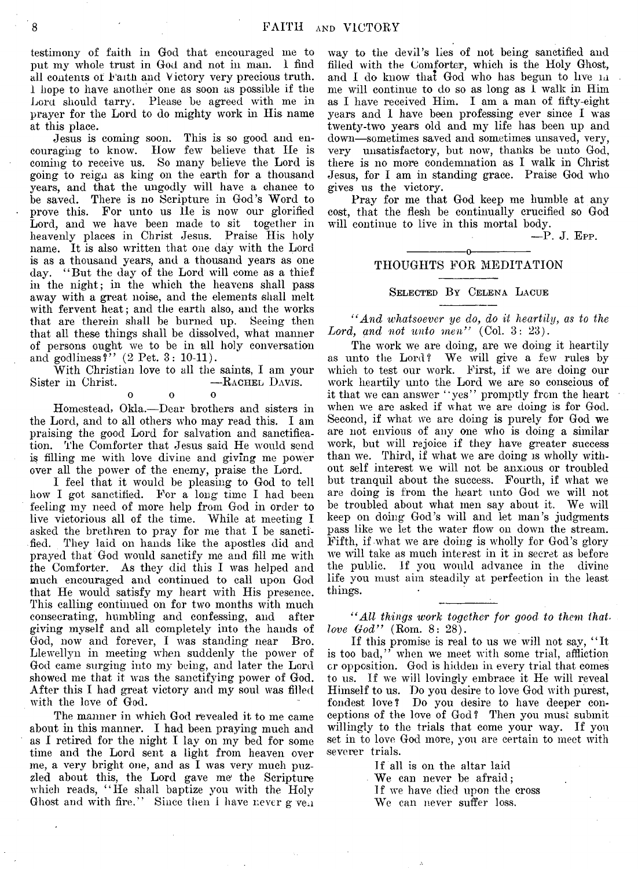testimony of faith in God that encouraged me to put my whole trust in God and not in man. I find all contents of Faith and V ictory very precious truth, i hope to have another one as soon as possible if the Lora should tarry. Please be agreed with me in prayer for the Lord to do mighty work in Ilis name at this place.

Jesus is coming soon. This is so good and encouraging to know. How few believe that He is coming to receive us. So many believe the Lord is going to reign as king on the earth for a thousand years, and that the ungodly will have a chance to be saved. There is no Scripture in God's Word to prove this. For unto us He is now our glorified Lord, and we have been made to sit together in heavenly places in Christ Jesus. Praise His holy name. It is also written that one day with the Lord is as a thousand years, and a thousand years as one day. "But the day of the Lord will come as a thief in the night; in the which the heavens shall pass away with a great noise, and the elements shall melt with fervent heat; and the earth also, and the works that are therein shall be burned up. Seeing then that all these things shall be dissolved, what manner of persons ought we to be in all holy conversation and godliness?"  $(2 \text{ Pet. } 3: 10-11)$ .

With Christian love to all the saints, I am your<br>r in Christ. ——RACHEL DAVIS. Sister in Christ.

 $\overline{0}$ 

Homestead, Okla.— Dear brothers and sisters in the Lord, and to all others who may read this. I am praising the good Lord for salvation and sanctification. The Comforter that Jesus said He would send is filling me with love divine and giving me power over all the power of the enemy, praise the Lord.

I feel that it would be pleasing to God to tell how I got sanctified. For a long time I had been feeling my need of more help from God in order to live victorious all of the time. While at meeting I asked the brethren to pray for me that I be sanctified. They laid on hands like the apostles did and prayed that God would sanctify me and fill me with the Comforter. As they did this I was helped and much encouraged and continued to call upon God that He would satisfy my heart with His presence. This calling continued on for two months with much consecrating, humbling and confessing, and after giving myself and all completely into the hands of God, now and forever, I was standing near Bro. Llewellyn in meeting when suddenly the power of God came surging into my being, and later the Lord showed me that it was the sanctifying power of God. After this I had great victory and my soul was filled with the love of God.

The manner in which God revealed it to me came about in this manner. I had been praying much and as I retired for the night I lay on my bed for some time and the Lord sent a light from heaven over me, a very bright one, and as I was very much puzzled about this, the Lord gave me the Scripture which reads, "He shall baptize you with the Holy Ghost and with fire." Since then I have never  $g \vee g_n$  way to the devil's lies of not being sanctified and filled with the Comforter, which is the Holy Ghost, and I do know that God who has begun to live  $m$ me will continue to do so as long as I walk in Him as I have received Him. I am a man of fifty-eight years and I have been professing ever since I was twenty-two years old and my life has been up and down—sometimes saved and sometimes unsaved, very, very unsatisfactory, but now, thanks be unto God, there is no more condemnation as I walk in Christ Jesus, for I am in standing grace. Praise God who gives us the victory.

Pray for me that God keep me humble at any cost, that the flesh be continually crucified so God will continue to live in this mortal body.

**— P.** J. **Epp.**

#### ---------------- o----------------- THOUGHTS FOR MEDITATION

Selected By Celena Lacue

*" And whatsoever ye do, do it heartily*, *as to the Lord*, *and not unto men"* (Col. 3: 23).

The work we are doing, are we doing it heartily as unto the Lord? We will give a few rules by which to test our work. First, if we are doing our work heartily unto the Lord we are so conscious of it that we can answer "yes" promptly from the heart when we are asked if what we are doing is for God. Second, if what we are doing is purely for God we are not envious of any one who is doing a similar work, but will rejoice if they have greater success than we. Third, if what we are doing is wholly without self interest we will not be anxious or troubled but tranquil about the success. Fourth, if what we are doing is from the heart unto God we will not be troubled about what men say about it. We will keep on doing God's will and let man's judgments pass like we let the water flow on down the stream. Fifth, if what we are doing is wholly for God's glory we will take as much interest in it in secret as before the public. If you would advance in the divine life you must aim steadily at perfection in the least things.

*" All things work together for good to them thatlove God"* (Rom. 8: 28).

If this promise is real to us we will not say, " It is too bad," when we meet with some trial, affliction or opposition. God is hidden in every trial that comes to us. If we will lovingly embrace it He will reveal Himself to us. Do you desire to love God with purest, fondest love? Do you desire to have deeper conceptions of the love of God? Then you must submit willingly to the trials that come your way. If you set in to love God more, you are certain to meet with severer trials.

> If all is on the altar laid We can never be afraid; If we have died upon the cross We can never suffer loss.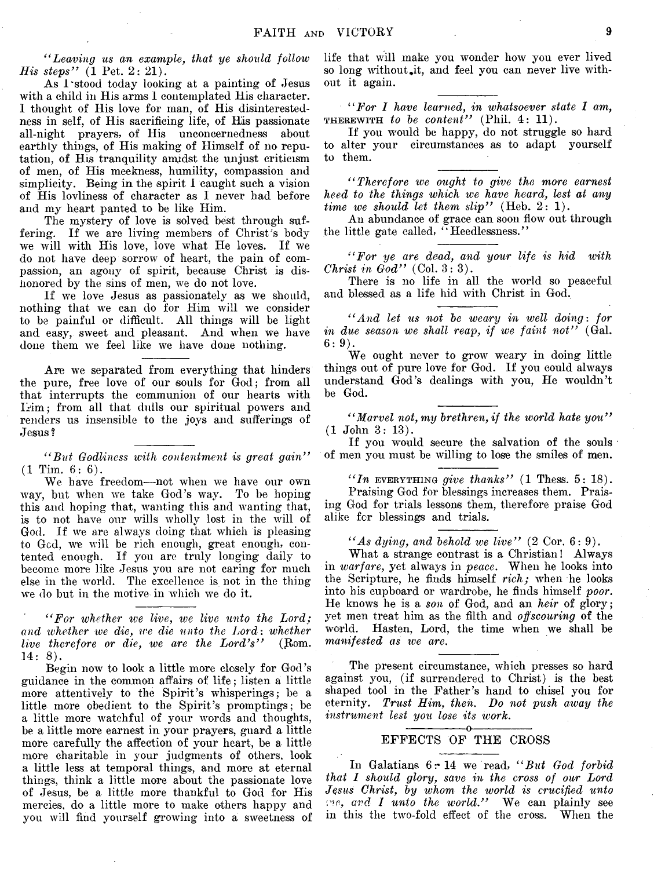*" Leaving us an example, that ye should follow His steps"* (1 Pet. 2: 21).

As I'stood today looking at a painting of Jesus with a child in His arms I contemplated His character. 1 thought of His love for man, of His disinterestedness in self, of His sacrificing life, of His passionate all-night prayers, of His unconcernedness about earthly things, of His making of Himself of no reputation, of His tranquility amgidst the unjust criticism of men, of His meekness, humility, compassion and simplicity. Being in the spirit I caught such a vision of His lovliness of character as I never had before and my heart panted to be like Him.

The mystery of love is solved best through suffering. If we are living members of Christ's body we will with His love, love what He loves. If we do not have deep sorrow of heart, the pain of compassion, an agony of spirit, because Christ is dishonored by the sins of men, we do not love.

If we love Jesus as passionately as we should, nothing that we can do for Him will we consider to be painful or difficult. All things will be light and easy, sweet and pleasant. And when we have done them we feel like we have done nothing.

Are we separated from everything that hinders the pure, free love of our souls for God; from all that interrupts the communion of our hearts with Him; from all that dulls our spiritual powers and renders us insensible to the joys and sufferings of Jesus ?

*" But Godliness with contentment is great gain"*  $(1$  Tim.  $6:6$ ).

We have freedom— not when we have our own way, but when we take God's way. To be hoping this and hoping that, wanting this and wanting that, is to not have our wills wholly lost in the will of God. If we are always doing that which is pleasing to Gcd, we will be rich enough, great enough, contented enough. If you are truly longing daily to become more like Jesus you are not caring for much else in the world. The excellence is not in the thing we do but in the motive in which we do it.

*" For whether ive live, we live unto the Lord; and whether we die, we die unto the Lord: whether live therefore or die, we are the Lord's''* (Rom. 14: 8).

Begin now to look a little more closely for God's guidance in the common affairs of life ; listen a little more attentively to the Spirit's whisperings; be a little more obedient to the Spirit's promptings; be a little more watchful of your words and thoughts, be a little more earnest in your prayers, guard a little more carefully the affection of your heart, be a little more charitable in your judgments of others, look a little less at temporal things, and more at eternal things, think a little more about the passionate love of Jesus, be a little more thankful to God for His mercies, do a little more to make others happy and you will find yourself growing into a sweetness of life that will make you wonder how you ever lived so long without it, and feel you can never live without it again.

*" For I have learned, in whatsoever state I am,* therewith *to be content"* (Phil. 4: 11).

If you would be happy, do not struggle so hard to alter your circumstances as to adapt yourself to them.

*" Therefore we ought to give the more earnest heed to the things which we have heard, lest at any time we should let them slip"* (Heb. 2: 1).

An abundance of grace can soon flow out through the little gate called, " Heedlessness."

*" For ye are dead, and your life is hid with Christ in God"* (Col. 3:3).

There is no life in all the world so peaceful and blessed as a life hid with Christ in God.

*" And let us not be weary in well doing: for in due season we shall reap, if we faint not*" (Gal. 6:9).

We ought never to grow weary in doing little things out of pure love for God. If you could always understand God's dealings with you, He wouldn't be God.

*" Marvel not, my brethren, if the world hate you "* (1 John 3: 13).

If you would secure the salvation of the souls of men you must be willing to lose the smiles of men.

*" In* everything *give thanks"* (1 Thess. 5: 18).

Praising God for blessings increases them. Praising God for trials lessons them, therefore praise God alike for blessings and trials.

*" As dying, and behold we live"* (2 Cor. 6:9).

What a strange contrast is a Christian! Always in *warfare*, yet always in *peace*. When he looks into the Scripture, he finds himself *rich;* when he looks into his cupboard or wardrobe, he finds himself *poor.* He knows he is a *son* of God, and an *heir* of glory; yet men treat him as the filth and *off scouring* of the world. Hasten, Lord, the time when we shall be *manifested as we are.*

The present circumstance, which presses so hard against you, (if surrendered to Christ) is the best shaped tool in the Father's hand to chisel you for eternity. *Trust Him, then. Bo not push away the instrument lest you lose its ivork.*

#### ---------------- o----------------- EFFECTS OF THE CROSS

In Galatians 6 r 14 we read, *" But God forbid that 1 should glory, save in the cross of our Lord Jesus Christ, by whom the world is crucified unto ■rw-, and I unto the world."* We can plainly see in this the two-fold effect of the cross. When the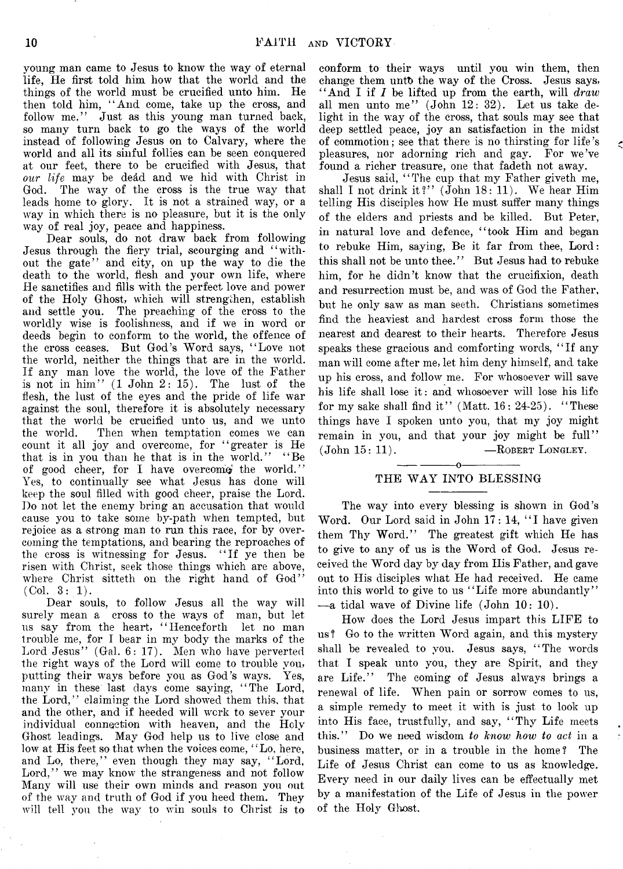young man came to Jesus to know the way of eternal life, He first told him how that the world and the things of the world must be crucified unto him. He then told him, "And come, take up the cross, and follow me." Just as this young man turned back, so many turn back to go the ways of the world instead of following Jesus on to Calvary, where the world and all its sinful follies can be seen conquered at our feet, there to be crucified with Jesus, that *our life* may be dead and we hid with Christ in God. The way of the cross is the true way that leads home to glory. It is not a strained way, or a way in which there is no pleasure, but it is the only way of real joy, peace and happiness.

Dear souls, do not draw back from following Jesus through the fiery trial, scourging and " without the gate" and city, on up the way to die the death to the world, fiesh and your own life, where He sanctifies and fills with the perfect love and power of the Holy Ghost, which will strengthen, establish and settle you. The preaching of the cross to the worldly wise is foolishness, and if we in word or deeds begin to conform to the world, the offence of the cross ceases. But God's Word says, " Love not the world, neither the things that are in the world. If any man love the world, the love of the Father is not in him" (1 John 2: 15). The lust of the flesh, the lust of the eyes and the pride of life war against the soul, therefore it is absolutely necessary that the world be crucified unto us, and we unto the world. Then when temptation comes we can count it all joy and overcome, for " greater is He that is in you than he that is in the world." "Be of good cheer, for I have overcome the world." Yes, to continually see what Jesus has done will keep the soul filled with good cheer, praise the Lord. Do not let the enemy bring an accusation that would cause you to take some by-path when tempted, but rejoice as a strong man to run this race, for by overcoming the temptations, and bearing the reproaches of the cross is witnessing for Jesus. " If ye then be risen with Christ, seek those things which are above, where Christ sitteth on the right hand of God" (Col. 3:1).

Dear souls, to follow Jesus all the way will surely mean a cross to the ways of man, but let us say from the heart, " Henceforth let no man trouble me, for I bear in my body the marks of the Lord Jesus" (Gal. 6: 17). Men who have perverted the right ways of the Lord will come to trouble you, putting their ways before you as God's ways. Yes, many in these last days come saying, "The Lord, the Lord," claiming the Lord showed them this, that and the other, and if heeded will work to sever your individual connection with heaven, and the Holy Ghost leadings. May God help us to live close and low at His feet so that When the voices come, " Lo, here, and Lo, there," even though they may say, "Lord, Lord," we may know the strangeness and not follow Many will use their own minds and reason you out of the way and truth of God if you heed them. They will tell you the way to win souls to Christ is to

conform to their ways until you win them, then change them unto the way of the Cross. Jesus says, " And I if *I* be lifted up from the earth, will *draw* all men unto me" (John 12: 32). Let us take delight in the way of the cross, that souls may see that deep settled peace, joy an satisfaction in the midst of commotion; see that there is no thirsting for life's pleasures, nor adorning rich and gay. For we've found a richer treasure, one that fadeth not away.

Jesus said, " The cup that my Father giveth me, shall I not drink it?" (John 18: 11). We hear Him telling His disciples how He must suffer many things of the elders and priests and be killed. But Peter, in natural love and defence, "took Him and began to rebuke Him, saying, Be it far from thee, Lord: this shall not be unto thee." But Jesus had to rebuke him, for he didn't know that the crucifixion, death and resurrection must be, and was of God the Father, but he only saw as man seeth. Christians sometimes find the heaviest and hardest cross form those the nearest and dearest to their hearts. Therefore Jesus speaks these gracious and comforting words, " If any man will come after me, let him deny himself, and take up his cross, and follow me. For whosoever will save his life shall lose it: and whosoever will lose his life for my sake shall find it" (Matt.  $16: 24-25$ ). "These things have I spoken unto you, that my joy might remain in you, and that your joy might be full"  $(John 15: 11).$  -ROBERT LONGLEY.

#### $-\!-0$ THE WAY INTO BLESSING

The way into every blessing is shown in God's Word. Our Lord said in John 17: 14, "I have given them Thy Word." The greatest gift which He has to give to any of us is the Word of God. Jesus received the Word day by day from His Father, and gave out to His disciples what He had received. He came into this world to give to us "Life more abundantly" —a tidal wave of Divine life (John 10: 10).

How does the Lord Jesus impart this LIFE to us? Go to the written Word again, and this mystery shall be revealed to you. Jesus says, " The words that I speak unto you, they are Spirit, and they are Life." The coming of Jesus always brings a renewal of life. When pain or sorrow comes to us, a simple remedy to meet it with is just to look up into His face, trustfully, and say, " Thy Life meets this." Do we need wisdom *to know how to act* in a business matter, or in a trouble in the home? The Life of Jesus Christ can come to us as knowledge. Every need in our daily lives can be effectually met by a manifestation of the Life of Jesus in the power of the Holy Ghost.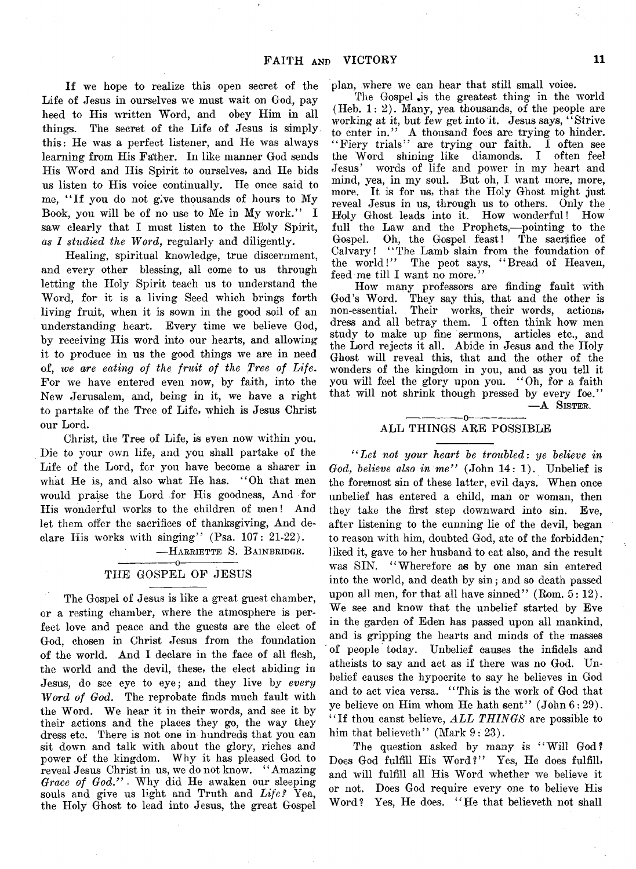If we hope to realize this open secret of the Life of Jesus in ourselves we must wait on God, pay heed to His written Word, and obey Him in all things. The secret of the Life of Jesus is simply this: He was a perfect listener, and He was always learning from His Father. In like manner God sends His Word and His Spirit to ourselves, and He bids us listen to His voice continually. He once said to me, " If you do not give thousands of hours to My Book, you will be of no use to Me in My work." I saw clearly that I must listen to the Holy Spirit, *as 1 studied the Word,* regularly and diligently.

Healing, spiritual knowledge, true discernment, and every other blessing, all come to us through letting the Holy Spirit teach us to understand the Word, for it is a living Seed which brings forth living fruit, when it is sown in the good soil of an understanding heart. Every time we believe God, by receiving His word into our hearts, and allowing it to produce in us the good things we are in need of, *we are eating of the fruit of the Tree of Life.* For we have entered even now, by faith, into the New Jerusalem, and, being in it, we have a right to partake of the Tree of Life, which is Jesus Christ our Lord.

Christ, the Tree of Life, is even now within you. Die to your own life, and you shall partake of the Life of the Lord, for you have become a sharer in what He is, and also what He has. " Oh that men would praise the Lord for His goodness, And for His wonderful works to the children of men! And let them offer the sacrifices of thanksgiving, And declare His works with singing" (Psa.  $107: 21-22$ ).

-HARRIETTE S. BAINBRIDGE.

#### $-0-$ THE GOSPEL OF JESUS

The Gospel of Jesus is like a great guest chamber, or a resting chamber, where the atmosphere is perfect love and peace and the guests are the elect of God, chosen in Christ Jesus from the foundation of the world. And I declare in the face of all flesh, the world and the devil, these, the elect abiding in Jesus, do see eye to eye; and they live by *every* Word of God. The reprobate finds much fault with the Word. We hear it in their words, and see it by their actions and the places they go, the way they dress etc. There is not one in hundreds that you can sit down and talk with about the glory, riches and power of the kingdom. Why it has pleased God to reveal Jesus Christ in us, we do not know. " Amazing *Grace of God." -* Why did He awaken our sleeping souls and give us light and Truth and *Life?* Yea, the Holy Ghost to lead into Jesus, the great Gospel plan, where we can hear that still small voice.

The Gospel is the greatest thing in the world (Heb. 1:2). Many, yea thousands, of the people are working at it, but few get into it. Jesus says, " Strive to enter in." A thousand foes are trying to hinder. " Fiery trials" are trying our faith. I often see the Word shining like diamonds. I often feel Jesus' words of life and power in my heart and mind, yea, in my soul. But oh, I want more, more, more. It is for us, that the Holy Ghost might just reveal Jesus in us, through us to others. Only the Holy Ghost leads into it. How wonderful! How full the Law and the Prophets,— pointing to the Gospel. Oh, the Gospel feast! The sacrifice of Calvary! "The Lamb slain from the foundation of<br>the world!" The peot says, "Bread of Heaven, The peot says, "Bread of Heaven, feed me till I want no more."

How many professors are finding fault with God's Word. They say this, that and the other is non-essential. Their works, their words, actions, dress and all betray them. I often think how men study to make up fine sermons, articles etc., and the Lord rejects it all. Abide in Jesus and the Holy Ghost will reveal this, that and the other of the wonders of the kingdom in you, and as you tell it you will feel the glory upon you. " Oh, for a faith that will not shrink though pressed by every foe." —A Sister.

#### ---------------- o------------— ALL THINGS ARE POSSIBLE

*(<Let not your heart be troubled*: *ye believe in* God, believe also in me" (John 14: 1). Unbelief is the foremost sin of these latter, evil days. When once unbelief has entered a child, man or woman, then they take the first step downward into sin. Eve, after listening to the cunning lie of the devil, began to reason with him, doubted God, ate of the forbidden; liked it, gave to her husband to eat also, and the result was SIN. "Wherefore as by one man sin entered into the world, and death by sin; and so death passed upon all men, for that all have sinned" (Rom. 5: 12). We see and know that the unbelief started by Eve in the garden of Eden has passed upon all mankind, and is gripping the hearts and minds of the masses ' of people today. Unbelief causes the infidels and atheists to say and act as if there was no God. Unbelief causes the hypocrite to say he believes in God and to act vica versa. "This is the work of God that ye believe on Him whom He hath sent" (John 6:29). " If thou canst- believe, *ALL THINGS* are possible to him that believeth" (Mark  $9:23$ ).

The question asked by many is "Will God? Does God fulfill His Word?" Yes, He does fulfill, and will fulfill all His Word whether we believe it or not. Does God require every one to believe His Word? Yes, He does. "He that believeth not shall